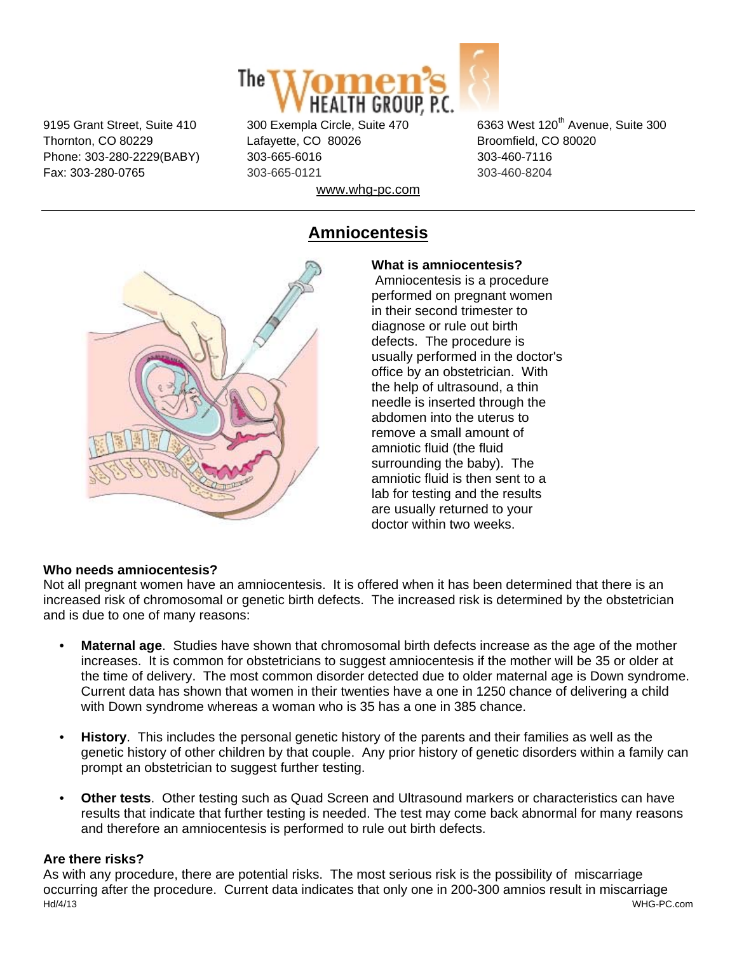

Thornton, CO 80229 Lafayette, CO 80026 Broomfield, CO 80020 Phone: 303-280-2229(BABY) 303-665-6016 303-460-7116 Fax: 303-280-0765 303-665-0121 303-460-8204 www.whg-pc.com

9195 Grant Street, Suite 410 300 Exempla Circle, Suite 470 6363 West 120<sup>th</sup> Avenue, Suite 300

## **Amniocentesis**



**What is amniocentesis?** Amniocentesis is a procedure

performed on pregnant women in their second trimester to diagnose or rule out birth defects. The procedure is usually performed in the doctor's office by an obstetrician. With the help of ultrasound, a thin needle is inserted through the abdomen into the uterus to remove a small amount of amniotic fluid (the fluid surrounding the baby). The amniotic fluid is then sent to a lab for testing and the results are usually returned to your doctor within two weeks.

## **Who needs amniocentesis?**

Not all pregnant women have an amniocentesis. It is offered when it has been determined that there is an increased risk of chromosomal or genetic birth defects. The increased risk is determined by the obstetrician and is due to one of many reasons:

- **Maternal age**. Studies have shown that chromosomal birth defects increase as the age of the mother increases. It is common for obstetricians to suggest amniocentesis if the mother will be 35 or older at the time of delivery. The most common disorder detected due to older maternal age is Down syndrome. Current data has shown that women in their twenties have a one in 1250 chance of delivering a child with Down syndrome whereas a woman who is 35 has a one in 385 chance.
- **History**. This includes the personal genetic history of the parents and their families as well as the genetic history of other children by that couple. Any prior history of genetic disorders within a family can prompt an obstetrician to suggest further testing.
- **Other tests**. Other testing such as Quad Screen and Ultrasound markers or characteristics can have results that indicate that further testing is needed. The test may come back abnormal for many reasons and therefore an amniocentesis is performed to rule out birth defects.

## **Are there risks?**

Hd/4/13 WHG-PC.com As with any procedure, there are potential risks. The most serious risk is the possibility of miscarriage occurring after the procedure. Current data indicates that only one in 200-300 amnios result in miscarriage